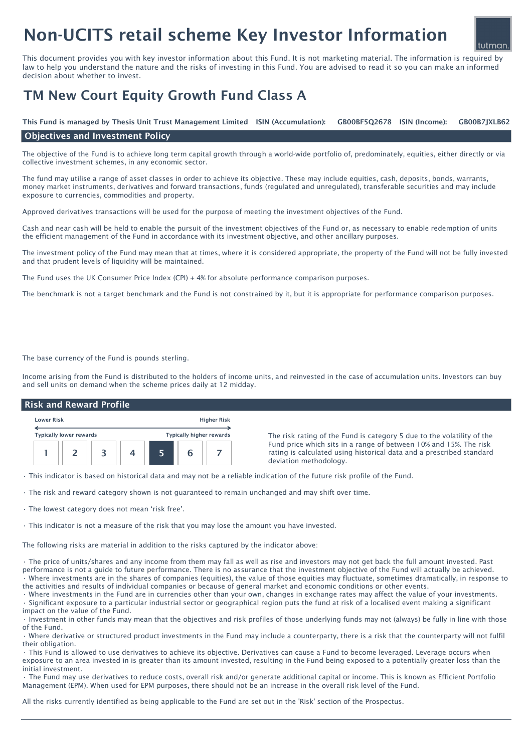# Non-UCITS retail scheme Key Investor Information

This document provides you with key investor information about this Fund. It is not marketing material. The information is required by law to help you understand the nature and the risks of investing in this Fund. You are advised to read it so you can make an informed decision about whether to invest.

## TM New Court Equity Growth Fund Class A

GB00BF5O2678 ISIN (Income): This Fund is managed by Thesis Unit Trust Management Limited ISIN (Accumulation): GB00BF5Q2678 ISIN (Income): GB00B7JXLB62

#### Objectives and Investment Policy

The objective of the Fund is to achieve long term capital growth through a world-wide portfolio of, predominately, equities, either directly or via collective investment schemes, in any economic sector.

The fund may utilise a range of asset classes in order to achieve its objective. These may include equities, cash, deposits, bonds, warrants, money market instruments, derivatives and forward transactions, funds (regulated and unregulated), transferable securities and may include exposure to currencies, commodities and property.

Approved derivatives transactions will be used for the purpose of meeting the investment objectives of the Fund.

Cash and near cash will be held to enable the pursuit of the investment objectives of the Fund or, as necessary to enable redemption of units the efficient management of the Fund in accordance with its investment objective, and other ancillary purposes.

The investment policy of the Fund may mean that at times, where it is considered appropriate, the property of the Fund will not be fully invested and that prudent levels of liquidity will be maintained.

The Fund uses the UK Consumer Price Index (CPI) + 4% for absolute performance comparison purposes.

The benchmark is not a target benchmark and the Fund is not constrained by it, but it is appropriate for performance comparison purposes.

The base currency of the Fund is pounds sterling.

Income arising from the Fund is distributed to the holders of income units, and reinvested in the case of accumulation units. Investors can buy and sell units on demand when the scheme prices daily at 12 midday.

#### Risk and Reward Profile



The risk rating of the Fund is category 5 due to the volatility of the Fund price which sits in a range of between 10% and 15%. The risk rating is calculated using historical data and a prescribed standard deviation methodology.

tutman

• This indicator is based on historical data and may not be a reliable indication of the future risk profile of the Fund.

- The risk and reward category shown is not guaranteed to remain unchanged and may shift over time.
- The lowest category does not mean 'risk free'.
- This indicator is not a measure of the risk that you may lose the amount you have invested.

The following risks are material in addition to the risks captured by the indicator above:

• The price of units/shares and any income from them may fall as well as rise and investors may not get back the full amount invested. Past performance is not a guide to future performance. There is no assurance that the investment objective of the Fund will actually be achieved. • Where investments are in the shares of companies (equities), the value of those equities may fluctuate, sometimes dramatically, in response to the activities and results of individual companies or because of general market and economic conditions or other events.

• Where investments in the Fund are in currencies other than your own, changes in exchange rates may affect the value of your investments. • Significant exposure to a particular industrial sector or geographical region puts the fund at risk of a localised event making a significant impact on the value of the Fund.

• Investment in other funds may mean that the objectives and risk profiles of those underlying funds may not (always) be fully in line with those of the Fund.

• Where derivative or structured product investments in the Fund may include a counterparty, there is a risk that the counterparty will not fulfil their obligation.

• This Fund is allowed to use derivatives to achieve its objective. Derivatives can cause a Fund to become leveraged. Leverage occurs when exposure to an area invested in is greater than its amount invested, resulting in the Fund being exposed to a potentially greater loss than the initial investment.

• The Fund may use derivatives to reduce costs, overall risk and/or generate additional capital or income. This is known as Efficient Portfolio Management (EPM). When used for EPM purposes, there should not be an increase in the overall risk level of the Fund.

All the risks currently identified as being applicable to the Fund are set out in the 'Risk' section of the Prospectus.